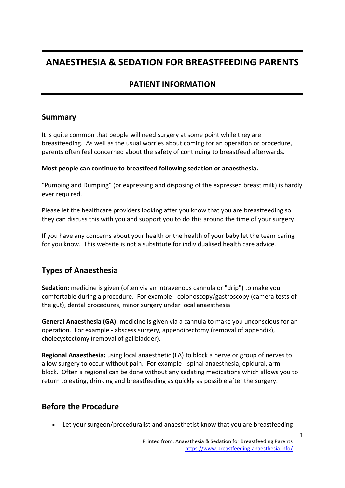# **ANAESTHESIA & SEDATION FOR BREASTFEEDING PARENTS**

## **PATIENT INFORMATION**

### **Summary**

It is quite common that people will need surgery at some point while they are breastfeeding. As well as the usual worries about coming for an operation or procedure, parents often feel concerned about the safety of continuing to breastfeed afterwards.

#### **Most people can continue to breastfeed following sedation or anaesthesia.**

"Pumping and Dumping" (or expressing and disposing of the expressed breast milk) is hardly ever required.

Please let the healthcare providers looking after you know that you are breastfeeding so they can discuss this with you and support you to do this around the time of your surgery.

If you have any concerns about your health or the health of your baby let the team caring for you know. This website is not a substitute for individualised health care advice.

## **Types of Anaesthesia**

**Sedation:** medicine is given (often via an intravenous cannula or "drip") to make you comfortable during a procedure. For example - colonoscopy/gastroscopy (camera tests of the gut), dental procedures, minor surgery under local anaesthesia

**General Anaesthesia (GA):** medicine is given via a cannula to make you unconscious for an operation. For example - abscess surgery, appendicectomy (removal of appendix), cholecystectomy (removal of gallbladder).

**Regional Anaesthesia:** using local anaesthetic (LA) to block a nerve or group of nerves to allow surgery to occur without pain. For example - spinal anaesthesia, epidural, arm block. Often a regional can be done without any sedating medications which allows you to return to eating, drinking and breastfeeding as quickly as possible after the surgery.

### **Before the Procedure**

• Let your surgeon/proceduralist and anaesthetist know that you are breastfeeding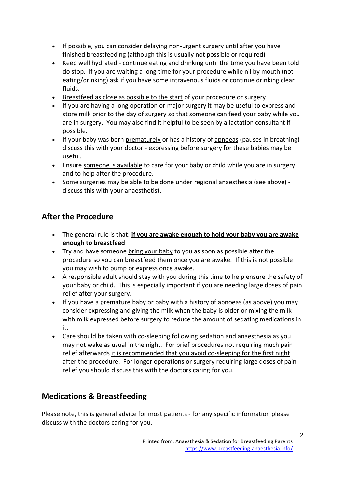- If possible, you can consider delaying non-urgent surgery until after you have finished breastfeeding (although this is usually not possible or required)
- Keep well hydrated continue eating and drinking until the time you have been told do stop. If you are waiting a long time for your procedure while nil by mouth (not eating/drinking) ask if you have some intravenous fluids or continue drinking clear fluids.
- Breastfeed as close as possible to the start of your procedure or surgery
- If you are having a long operation or major surgery it may be useful to express and store milk prior to the day of surgery so that someone can feed your baby while you are in surgery. You may also find it helpful to be seen by a lactation consultant if possible.
- If your baby was born prematurely or has a history of apnoeas (pauses in breathing) discuss this with your doctor - expressing before surgery for these babies may be useful.
- Ensure someone is available to care for your baby or child while you are in surgery and to help after the procedure.
- Some surgeries may be able to be done under regional anaesthesia (see above) discuss this with your anaesthetist.

# **After the Procedure**

- The general rule is that: **if you are awake enough to hold your baby you are awake enough to breastfeed**
- Try and have someone bring your baby to you as soon as possible after the procedure so you can breastfeed them once you are awake. If this is not possible you may wish to pump or express once awake.
- A responsible adult should stay with you during this time to help ensure the safety of your baby or child. This is especially important if you are needing large doses of pain relief after your surgery.
- If you have a premature baby or baby with a history of apnoeas (as above) you may consider expressing and giving the milk when the baby is older or mixing the milk with milk expressed before surgery to reduce the amount of sedating medications in it.
- Care should be taken with co-sleeping following sedation and anaesthesia as you may not wake as usual in the night. For brief procedures not requiring much pain relief afterwards it is recommended that you avoid co-sleeping for the first night after the procedure. For longer operations or surgery requiring large doses of pain relief you should discuss this with the doctors caring for you.

## **Medications & Breastfeeding**

Please note, this is general advice for most patients - for any specific information please discuss with the doctors caring for you.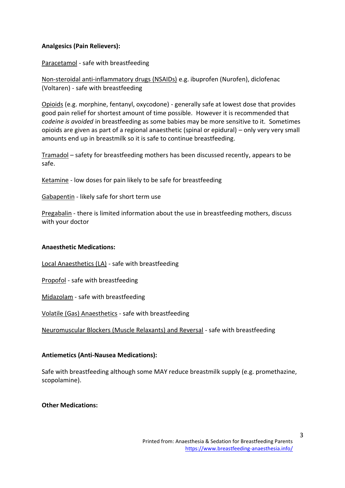#### **Analgesics (Pain Relievers):**

#### Paracetamol - safe with breastfeeding

Non-steroidal anti-inflammatory drugs (NSAIDs) e.g. ibuprofen (Nurofen), diclofenac (Voltaren) - safe with breastfeeding

Opioids (e.g. morphine, fentanyl, oxycodone) - generally safe at lowest dose that provides good pain relief for shortest amount of time possible. However it is recommended that *codeine is avoided* in breastfeeding as some babies may be more sensitive to it. Sometimes opioids are given as part of a regional anaesthetic (spinal or epidural) – only very very small amounts end up in breastmilk so it is safe to continue breastfeeding.

Tramadol – safety for breastfeeding mothers has been discussed recently, appears to be safe.

Ketamine - low doses for pain likely to be safe for breastfeeding

Gabapentin - likely safe for short term use

Pregabalin - there is limited information about the use in breastfeeding mothers, discuss with your doctor

#### **Anaesthetic Medications:**

Local Anaesthetics (LA) - safe with breastfeeding

Propofol - safe with breastfeeding

Midazolam - safe with breastfeeding

Volatile (Gas) Anaesthetics - safe with breastfeeding

Neuromuscular Blockers (Muscle Relaxants) and Reversal - safe with breastfeeding

#### **Antiemetics (Anti-Nausea Medications):**

Safe with breastfeeding although some MAY reduce breastmilk supply (e.g. promethazine, scopolamine).

**Other Medications:**